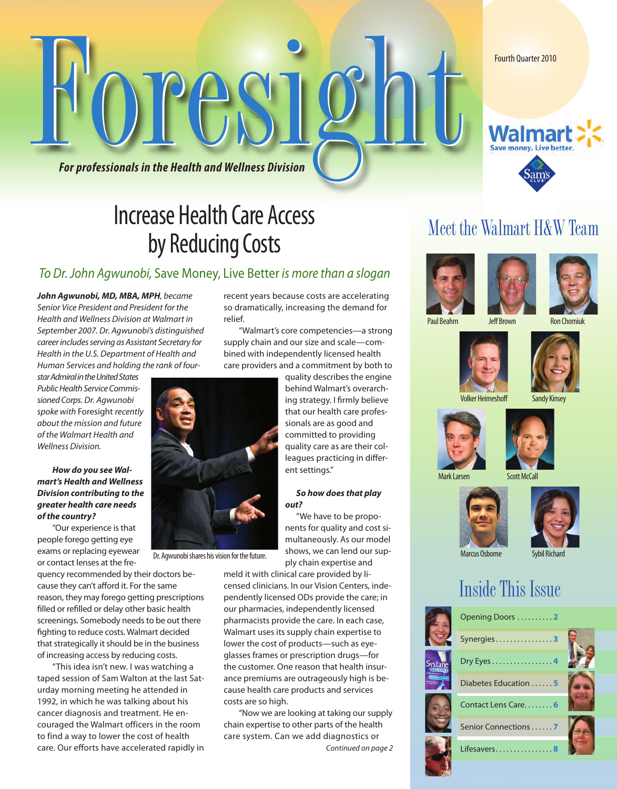Fourth Quarter 2010

For professionals in the Health and Wellness Division

### Increase Health Care Access by Reducing Costs

#### *To Dr. John Agwunobi,* Save Money, Live Better *is more than a slogan*

*John Agwunobi, MD, MBA, MPH, became Senior Vice President and President for the Health and Wellness Division at Walmart in September 2007. Dr. Agwunobi's distinguished career includes serving as Assistant Secretary for Health in the U.S. Department of Health and Human Services and holding the rank of four-*

*starAdmiralintheUnitedStates Public Health Service Commissioned Corps. Dr. Agwunobi spoke with* Foresight *recently about the mission and future of the Walmart Health and Wellness Division.*

#### *How do you see Walmart's Health and Wellness Division contributing to the greater health care needs of the country?*

"Our experience is that people forego getting eye exams or replacing eyewear or contact lenses at the fre-

quency recommended by their doctors because they can't afford it. For the same reason, they may forego getting prescriptions filled or refilled or delay other basic health screenings. Somebody needs to be out there fighting to reduce costs. Walmart decided that strategically it should be in the business of increasing access by reducing costs.

"This idea isn't new. I was watching a taped session of Sam Walton at the last Saturday morning meeting he attended in 1992, in which he was talking about his cancer diagnosis and treatment. He encouraged the Walmart officers in the room to find a way to lower the cost of health care. Our efforts have accelerated rapidly in recent years because costs are accelerating so dramatically, increasing the demand for relief.

"Walmart's core competencies—a strong supply chain and our size and scale—combined with independently licensed health care providers and a commitment by both to

> quality describes the engine behind Walmart's overarching strategy. I firmly believe that our health care professionals are as good and committed to providing quality care as are their colleagues practicing in different settings."

#### *So how does that play out?*

"We have to be proponents for quality and cost simultaneously. As our model shows, we can lend our supply chain expertise and

meld it with clinical care provided by licensed clinicians. In our Vision Centers, independently licensed ODs provide the care; in our pharmacies, independently licensed pharmacists provide the care. In each case, Walmart uses its supply chain expertise to lower the cost of products—such as eyeglasses frames or prescription drugs—for the customer. One reason that health insurance premiums are outrageously high is because health care products and services costs are so high.

"Now we are looking at taking our supply chain expertise to other parts of the health care system. Can we add diagnostics or *Continued on page 2*

#### Meet the Walmart H&W Team

Walm Save money, Live better







Volker Heimeshoff Sandy Kinsey



Mark Larsen Scott McCall





#### Inside This Issue





Dr. Agwunobi shares his vision for the future.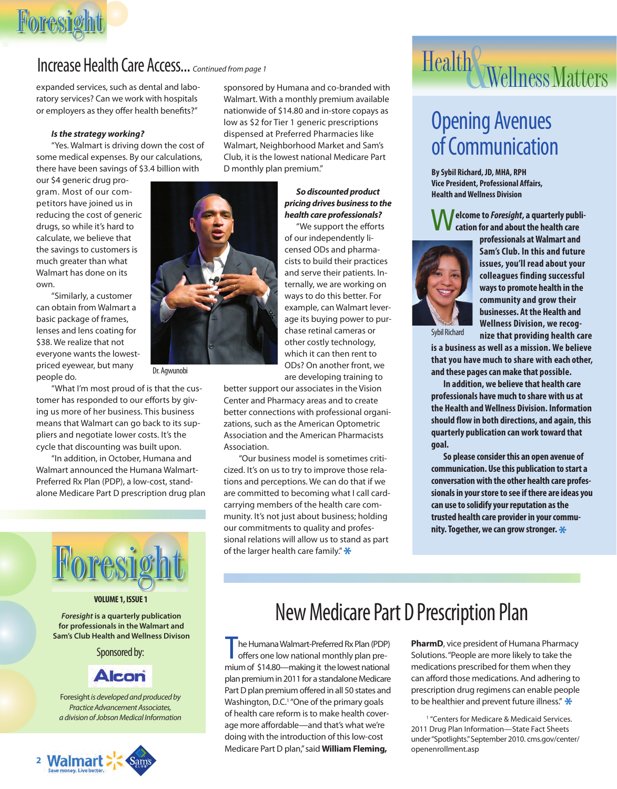# Foresight Foresight

#### Increase Health Care Access... *Continued from page 1*

expanded services, such as dental and laboratory services? Can we work with hospitals or employers as they offer health benefits?"

#### *Is the strategy working?*

"Yes. Walmart is driving down the cost of some medical expenses. By our calculations, there have been savings of \$3.4 billion with

our \$4 generic drug program. Most of our competitors have joined us in reducing the cost of generic drugs, so while it's hard to calculate, we believe that the savings to customers is much greater than what Walmart has done on its own.

"Similarly, a customer can obtain from Walmart a basic package of frames, lenses and lens coating for \$38. We realize that not everyone wants the lowestpriced eyewear, but many people do.

"What I'm most proud of is that the customer has responded to our efforts by giving us more of her business. This business means that Walmart can go back to its suppliers and negotiate lower costs. It's the cycle that discounting was built upon.

"In addition, in October, Humana and Walmart announced the Humana Walmart-Preferred Rx Plan (PDP), a low-cost, standalone Medicare Part D prescription drug plan



#### **VOLUME 1, ISSUE 1**

*Foresight* **is a quarterly publication for professionals in the Walmart and Sam's Club Health and Wellness Divison**

Sponsored by:

#### **Alcon**

Foresight*is developed and produced by Practice Advancement Associates, a division of Jobson Medical Information*



sponsored by Humana and co-branded with Walmart. With a monthly premium available nationwide of \$14.80 and in-store copays as low as \$2 for Tier 1 generic prescriptions dispensed at Preferred Pharmacies like Walmart, Neighborhood Market and Sam's Club, it is the lowest national Medicare Part D monthly plan premium."

#### *So discounted product pricing drives business to the health care professionals?*

"We support the efforts of our independently licensed ODs and pharmacists to build their practices and serve their patients. Internally, we are working on ways to do this better. For example, can Walmart leverage its buying power to purchase retinal cameras or other costly technology, which it can then rent to ODs? On another front, we are developing training to

better support our associates in the Vision

Center and Pharmacy areas and to create better connections with professional organizations, such as the American Optometric Association and the American Pharmacists Association.

"Our business model is sometimes criticized. It's on us to try to improve those relations and perceptions. We can do that if we are committed to becoming what I call cardcarrying members of the health care community. It's not just about business; holding our commitments to quality and professional relations will allow us to stand as part of the larger health care family."**\***

# Health Wellness Matters

### Opening Avenues of Communication

**By Sybil Richard, JD, MHA, RPH Vice President, Professional Affairs, Health and Wellness Division**

W**elcome to** *Foresight***, a quarterly publication for and about the health care**



**professionals at Walmart and Sam's Club. In this and future issues, you'll read about your colleagues finding successful ways to promote health in the community and grow their businesses. At the Health and Wellness Division, we recognize that providing health care**

Sybil Richard

**is a business as well as a mission. We believe that you have much to share with each other, and these pages can make that possible.**

**In addition, we believe that health care professionals have much to share with us at the Health and Wellness Division. Information should flow in both directions, and again, this quarterly publication can work toward that goal.**

**So please consider this an open avenue of communication. Use this publication to start a conversation with the other health care professionals in your store to see if there are ideas you can use to solidify your reputation as the trusted health care provider in your community. Together, we can grow stronger.\***

#### New Medicare Part D Prescription Plan

The Humana Walmart-Preferred Rx Plan (PDP)<br>offers one low national monthly plan premium of \$14.80—making it the lowest national plan premium in 2011 for a standalone Medicare Part D plan premium offered in all 50 states and Washington, D.C.<sup>1</sup> "One of the primary goals of health care reform is to make health coverage more affordable—and that's what we're doing with the introduction of this low-cost Medicare Part D plan,"said **William Fleming,**

**PharmD**, vice president of Humana Pharmacy Solutions."People are more likely to take the medications prescribed for them when they can afford those medications. And adhering to prescription drug regimens can enable people to be healthier and prevent future illness."**\***

<sup>1</sup> "Centers for Medicare & Medicaid Services. 2011 Drug Plan Information—State Fact Sheets under"Spotlights."September 2010. cms.gov/center/ openenrollment.asp



Dr. Agwunobi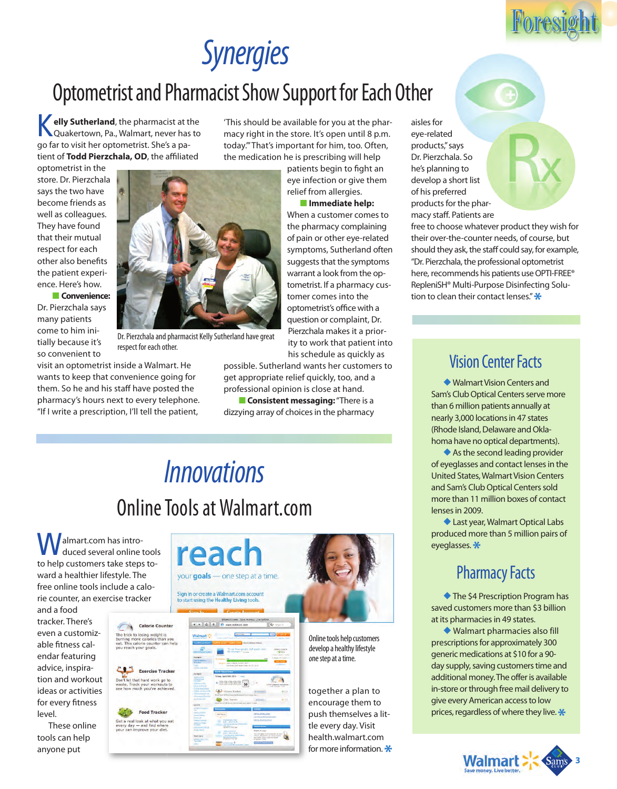# *Synergies*

### Optometrist and Pharmacist Show Support for Each Other

**Kelly Sutherland**, the pharmacist at the Quakertown, Pa., Walmart, never has to go far to visit her optometrist. She's a patient of **Todd Pierzchala, OD**, the affiliated

optometrist in the store. Dr. Pierzchala says the two have become friends as well as colleagues. They have found that their mutual respect for each other also benefits the patient experience. Here's how.

■ **Convenience:** Dr. Pierzchala says many patients come to him initially because it's so convenient to

visit an optometrist inside a Walmart. He wants to keep that convenience going for them. So he and his staff have posted the pharmacy's hours next to every telephone. "If I write a prescription, I'll tell the patient,

'This should be available for you at the pharmacy right in the store. It's open until 8 p.m. today.'"That's important for him, too. Often, the medication he is prescribing will help

patients begin to fight an eye infection or give them relief from allergies. ■ **Immediate help:**

#### When a customer comes to the pharmacy complaining of pain or other eye-related symptoms, Sutherland often suggests that the symptoms warrant a look from the optometrist. If a pharmacy customer comes into the optometrist's office with a question or complaint, Dr. Pierzchala makes it a priority to work that patient into his schedule as quickly as

respect for each other.

possible. Sutherland wants her customers to get appropriate relief quickly, too, and a professional opinion is close at hand.

**Expansistent messaging:** "There is a dizzying array of choices in the pharmacy

### *Innovations* Online Tools at Walmart.com

reac

your goals - one step at a time.

 $\sqrt{2}$ 

Sign in or create a Walmart.com account<br>to start using the Healthy Living tools.

almart.com has introduced several online tools to help customers take steps toward a healthier lifestyle. The free online tools include a calorie counter, an exercise tracker and a food

tracker. There's even a customizable fitness calendar featuring advice, inspiration and workout ideas or activities for every fitness level.

These online tools can help anyone put



Exercise Tracker t that hard work go to<br>Frack your workouts to

Food Tracker Get a real look at what you eat<br>every day — and find where<br>your can improve your diet.



Online tools help customers develop a healthy lifestyle one step at a time.

together a plan to encourage them to push themselves a little every day. Visit health.walmart.com for more information.**\*** aisles for eye-related products,"says Dr. Pierzchala. So he's planning to develop a short list of his preferred products for the phar-

macy staff. Patients are free to choose whatever product they wish for their over-the-counter needs, of course, but

should they ask, the staff could say, for example, "Dr. Pierzchala, the professional optometrist here, recommends his patients use OPTI-FREE® RepleniSH® Multi-Purpose Disinfecting Solution to clean their contact lenses."**\***

#### Vision Center Facts

◆ Walmart Vision Centers and Sam's Club Optical Centers serve more than 6 million patients annually at nearly 3,000 locations in 47 states (Rhode Island, Delaware and Oklahoma have no optical departments).

◆ As the second leading provider of eyeglasses and contact lenses in the United States, Walmart Vision Centers and Sam's Club Optical Centers sold more than 11 million boxes of contact lenses in 2009.

◆ Last year, Walmart Optical Labs produced more than 5 million pairs of eyeglasses.**\***

#### Pharmacy Facts

◆The \$4 Prescription Program has saved customers more than \$3 billion at its pharmacies in 49 states.

◆ Walmart pharmacies also fill prescriptions for approximately 300 generic medications at \$10 for a 90 day supply, saving customers time and additional money. The offer is available in-store or through free mail delivery to give every American access to low prices, regardless of where they live.**\***





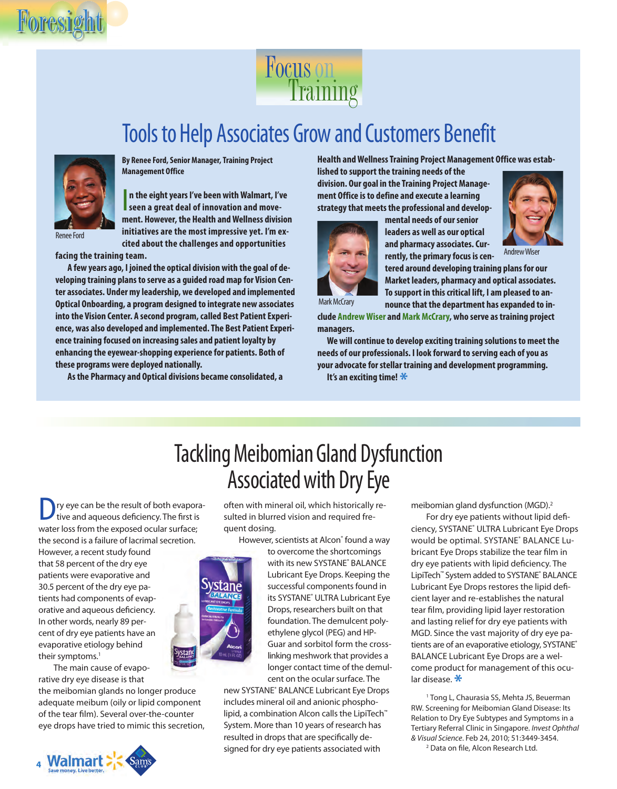

### Focus Training

### Tools to Help Associates Grow and Customers Benefit



**By Renee Ford, Senior Manager, Training Project Management Office**

**n** the eight years I've been with Walmart, I've seen a great deal of innovation and move**n the eight years I've been with Walmart, I've ment. However, the Health and Wellness division initiatives are the most impressive yet. I'm excited about the challenges and opportunities**

Renee Ford

**facing the training team.**

**A few years ago, I joined the optical division with the goal of developing training plans to serve as a guided road map for Vision Center associates. Under my leadership, we developed and implemented Optical Onboarding, a program designed to integrate new associates into the Vision Center. A second program, called Best Patient Experience, was also developed and implemented. The Best Patient Experience training focused on increasing sales and patient loyalty by enhancing the eyewear-shopping experience for patients. Both of these programs were deployed nationally.**

**As the Pharmacy and Optical divisions became consolidated, a**

**Health and Wellness Training Project Management Office was estab-**

**lished to support the training needs of the division. Our goal in the Training Project Management Office is to define and execute a learning strategy that meets the professional and develop-**



**mental needs of our senior leaders as well as our optical and pharmacy associates. Currently, the primary focus is cen-**



**tered around developing training plans for our Market leaders, pharmacy and optical associates. To support in this critical lift, I am pleased to announce that the department has expanded to in-**

**clude Andrew Wiser andMark McCrary, who serve as training project managers.**

**We will continue to develop exciting training solutions to meet the needs of our professionals. I look forward to serving each of you as your advocate for stellar training and development programming.**



### Tackling Meibomian Gland Dysfunction Associated with Dry Eye

ry eye can be the result of both evaporative and aqueous deficiency. The first is water loss from the exposed ocular surface; the second is a failure of lacrimal secretion.

However, a recent study found that 58 percent of the dry eye patients were evaporative and 30.5 percent of the dry eye patients had components of evaporative and aqueous deficiency. In other words, nearly 89 percent of dry eye patients have an evaporative etiology behind their symptoms.<sup>1</sup>

The main cause of evaporative dry eye disease is that

the meibomian glands no longer produce adequate meibum (oily or lipid component of the tear film). Several over-the-counter eye drops have tried to mimic this secretion,



often with mineral oil, which historically resulted in blurred vision and required frequent dosing.

However, scientists at Alcon® found a way

to overcome the shortcomings with its new SYSTANE® BALANCE Lubricant Eye Drops. Keeping the successful components found in its SYSTANE® ULTRA Lubricant Eye Drops, researchers built on that foundation. The demulcent polyethylene glycol (PEG) and HP-Guar and sorbitol form the crosslinking meshwork that provides a longer contact time of the demulcent on the ocular surface. The

new SYSTANE® BALANCE Lubricant Eye Drops includes mineral oil and anionic phospholipid, a combination Alcon calls the LipiTech<sup>™</sup> System. More than 10 years of research has resulted in drops that are specifically designed for dry eye patients associated with

meibomian gland dysfunction (MGD).<sup>2</sup>

For dry eye patients without lipid deficiency, SYSTANE® ULTRA Lubricant Eye Drops would be optimal. SYSTANE® BALANCE Lubricant Eye Drops stabilize the tear film in dry eye patients with lipid deficiency. The LipiTech™ System added to SYSTANE® BALANCE Lubricant Eye Drops restores the lipid deficient layer and re-establishes the natural tear film, providing lipid layer restoration and lasting relief for dry eye patients with MGD. Since the vast majority of dry eye patients are of an evaporative etiology, SYSTANE® BALANCE Lubricant Eye Drops are a welcome product for management of this ocular disease.**\***

<sup>1</sup> Tong L, Chaurasia SS, Mehta JS, Beuerman RW. Screening for Meibomian Gland Disease: Its Relation to Dry Eye Subtypes and Symptoms in a Tertiary Referral Clinic in Singapore. *Invest Ophthal & Visual Science*. Feb 24, 2010; 51:3449-3454.

<sup>2</sup> Data on file, Alcon Research Ltd.

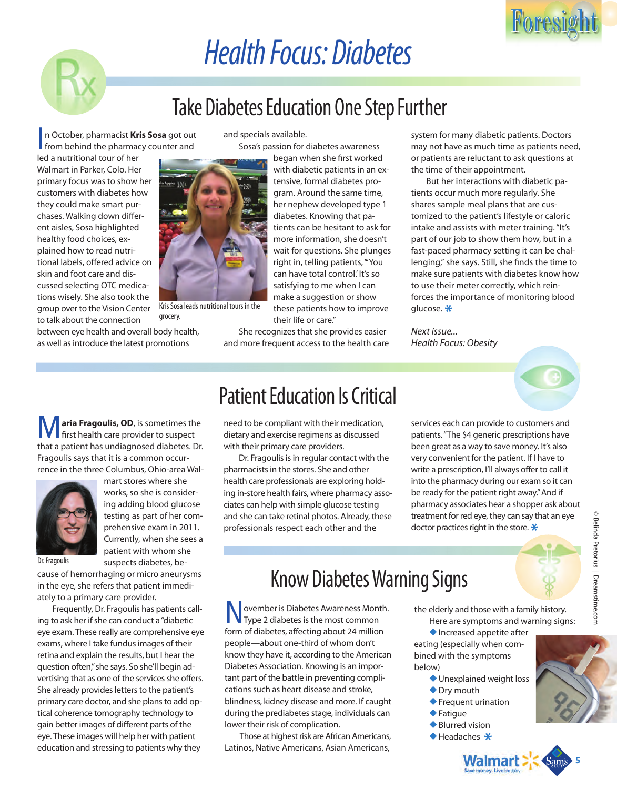# *Health Focus: Diabetes*

### Take Diabetes Education One Step Further

Sosa's passion for diabetes awareness

began when she first worked with diabetic patients in an extensive, formal diabetes program. Around the same time, her nephew developed type 1 diabetes. Knowing that patients can be hesitant to ask for more information, she doesn't wait for questions. She plunges right in, telling patients, "'You can have total control.' It's so satisfying to me when I can make a suggestion or show these patients how to improve

and specials available.

In October, pharmacist **Kris Sosa** got ou n October, pharmacist **Kris Sosa** got out

led a nutritional tour of her Walmart in Parker, Colo. Her primary focus was to show her customers with diabetes how they could make smart purchases. Walking down different aisles, Sosa highlighted healthy food choices, explained how to read nutritional labels, offered advice on skin and foot care and discussed selecting OTC medications wisely. She also took the group over to the Vision Center to talk about the connection

between eye health and overall body health, as well as introduce the latest promotions



Kris Sosa leads nutritional tours in the grocery.

their life or care." She recognizes that she provides easier and more frequent access to the health care system for many diabetic patients. Doctors may not have as much time as patients need, or patients are reluctant to ask questions at the time of their appointment.

But her interactions with diabetic patients occur much more regularly. She shares sample meal plans that are customized to the patient's lifestyle or caloric intake and assists with meter training. "It's part of our job to show them how, but in a fast-paced pharmacy setting it can be challenging," she says. Still, she finds the time to make sure patients with diabetes know how to use their meter correctly, which reinforces the importance of monitoring blood glucose.**\***

*Next issue... Health Focus: Obesity*



Foresight Foresight

**M** aria Fragoulis, OD, is sometimes the first health care provider to suspect that a patient has undiagnosed diabetes. Dr. Fragoulis says that it is a common occurrence in the three Columbus, Ohio-area Wal-



mart stores where she works, so she is considering adding blood glucose testing as part of her comprehensive exam in 2011. Currently, when she sees a patient with whom she suspects diabetes, be-

Dr. Fragoulis

cause of hemorrhaging or micro aneurysms in the eye, she refers that patient immediately to a primary care provider.

Frequently, Dr. Fragoulis has patients calling to ask her if she can conduct a"diabetic eye exam. These really are comprehensive eye exams, where I take fundus images of their retina and explain the results, but I hear the question often,"she says. So she'll begin advertising that as one of the services she offers. She already provides letters to the patient's primary care doctor, and she plans to add optical coherence tomography technology to gain better images of different parts of the eye. These images will help her with patient education and stressing to patients why they

#### Patient Education Is Critical

need to be compliant with their medication, dietary and exercise regimens as discussed with their primary care providers.

Dr. Fragoulis is in regular contact with the pharmacists in the stores. She and other health care professionals are exploring holding in-store health fairs, where pharmacy associates can help with simple glucose testing and she can take retinal photos. Already, these professionals respect each other and the

services each can provide to customers and patients."The \$4 generic prescriptions have been great as a way to save money. It's also very convenient for the patient. If I have to write a prescription, I'll always offer to call it into the pharmacy during our exam so it can be ready for the patient right away."And if pharmacy associates hear a shopper ask about treatment for red eye, they can say that an eye doctor practices right in the store.**\***

### Know Diabetes Warning Signs

ovember is Diabetes Awareness Month. Type 2 diabetes is the most common form of diabetes, affecting about 24 million people—about one-third of whom don't know they have it, according to the American Diabetes Association. Knowing is an important part of the battle in preventing complications such as heart disease and stroke, blindness, kidney disease and more. If caught during the prediabetes stage, individuals can lower their risk of complication.

Those at highest risk are African Americans, Latinos, Native Americans, Asian Americans,

the elderly and those with a family history. Here are symptoms and warning signs:

◆Increased appetite after eating (especially when combined with the symptoms below)

- ◆Unexplained weight loss
- ◆ Dry mouth
- ◆Frequent urination
- ◆Fatigue
- 
- ◆ Blurred vision
- ◆Headaches **\***

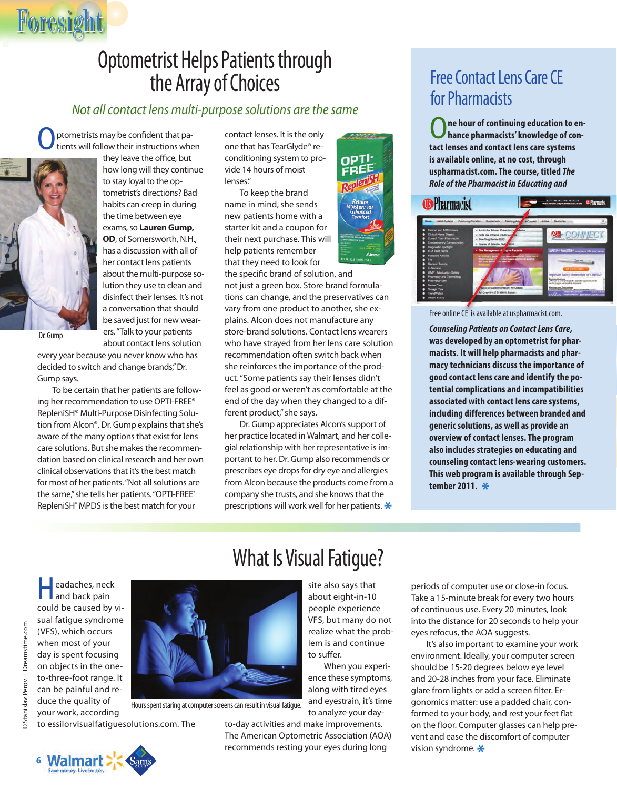#### Optometrist Helps Patients through the Array of Choices

#### *Not all contact lens multi-purpose solutions are the same*

ptometrists may be confident that patients will follow their instructions when



Foresight

they leave the office, but how long will they continue to stay loyal to the optometrist's directions? Bad habits can creep in during the time between eye exams, so **Lauren Gump, OD**, of Somersworth, N.H., has a discussion with all of her contact lens patients about the multi-purpose solution they use to clean and disinfect their lenses. It's not a conversation that should be saved just for new wearers."Talk to your patients about contact lens solution

Dr. Gump

every year because you never know who has decided to switch and change brands,"Dr. Gump says.

To be certain that her patients are following her recommendation to use OPTI-FREE® RepleniSH® Multi-Purpose Disinfecting Solution from Alcon®, Dr. Gump explains that she's aware of the many options that exist for lens care solutions. But she makes the recommendation based on clinical research and her own clinical observations that it's the best match for most of her patients."Not all solutions are the same," she tells her patients. "OPTI-FREE" RepleniSH<sup>®</sup> MPDS is the best match for your

contact lenses. It is the only one that has TearGlyde® reconditioning system to provide 14 hours of moist lenses."

To keep the brand name in mind, she sends new patients home with a starter kit and a coupon for their next purchase. This will help patients remember that they need to look for

the specific brand of solution, and not just a green box. Store brand formulations can change, and the preservatives can vary from one product to another, she explains. Alcon does not manufacture any store-brand solutions. Contact lens wearers who have strayed from her lens care solution recommendation often switch back when she reinforces the importance of the product. "Some patients say their lenses didn't feel as good or weren't as comfortable at the end of the day when they changed to a different product," she says.

Dr. Gump appreciates Alcon's support of her practice located in Walmart, and her collegial relationship with her representative is important to her. Dr. Gump also recommends or prescribes eye drops for dry eye and allergies from Alcon because the products come from a company she trusts, and she knows that the prescriptions will work well for her patients.**\***

#### Free Contact Lens Care CE for Pharmacists

ne hour of continuing education to en**hance pharmacists' knowledge of contact lenses and contact lens care systems is available online, at no cost, through uspharmacist.com. The course, titled** *The Role of the Pharmacist in Educating and*



Free online CE is available at uspharmacist.com.

*Counseling Patients on Contact Lens Care***, was developed by an optometrist for pharmacists. It will help pharmacists and pharmacy technicians discuss the importance of good contact lens care and identify the potential complications and incompatibilities associated with contact lens care systems, including differences between branded and generic solutions, as well as provide an overview of contact lenses. The program also includes strategies on educating and counseling contact lens-wearing customers. This web program is available through September 2011. \***

**Headaches, neck**<br>and back pain could be caused by visual fatigue syndrome © Stanislav Perov | Dreamstime.com © Stanislav Perov | Dreamstime.com(VFS), which occurs when most of your day is spent focusing on objects in the oneto-three-foot range. It can be painful and reduce the quality of your work, according



Hours spent staring at computer screens can result in visual fatigue.

to essilorvisualfatiguesolutions.com. The

#### When you experience these symptoms, along with tired eyes and eyestrain, it's time

to suffer.

site also says that about eight-in-10 people experience VFS, but many do not realize what the problem is and continue

to analyze your day-

to-day activities and make improvements. The American Optometric Association (AOA) recommends resting your eyes during long

periods of computer use or close-in focus. Take a 15-minute break for every two hours of continuous use. Every 20 minutes, look into the distance for 20 seconds to help your eyes refocus, the AOA suggests.

It's also important to examine your work environment. Ideally, your computer screen should be 15-20 degrees below eye level and 20-28 inches from your face. Eliminate glare from lights or add a screen filter. Ergonomics matter: use a padded chair, conformed to your body, and rest your feet flat on the floor. Computer glasses can help prevent and ease the discomfort of computer vision syndrome.**\***

**6** waimart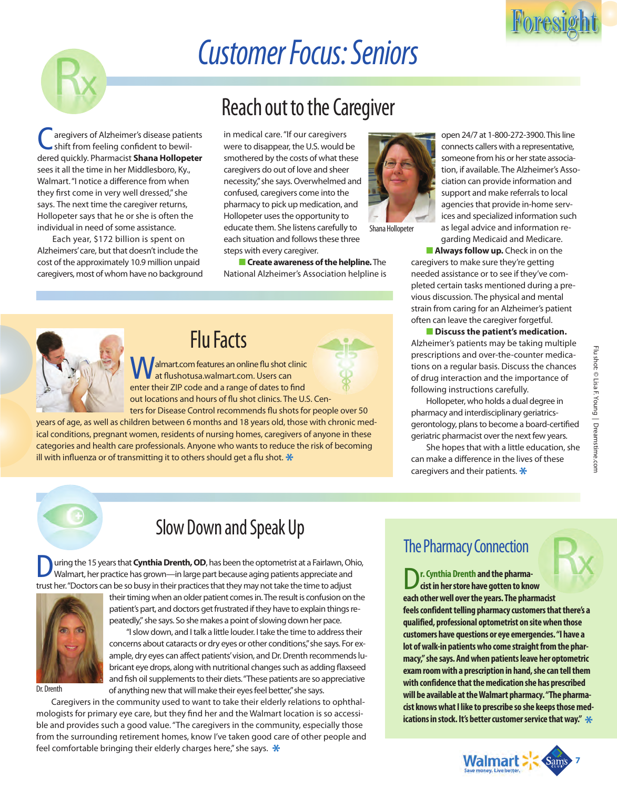

# *Customer Focus: Seniors*

aregivers of Alzheimer's disease patients shift from feeling confident to bewildered quickly. Pharmacist **Shana Hollopeter** sees it all the time in her Middlesboro, Ky., Walmart. "I notice a difference from when they first come in very well dressed," she says. The next time the caregiver returns, Hollopeter says that he or she is often the individual in need of some assistance.

Each year, \$172 billion is spent on Alzheimers'care, but that doesn't include the cost of the approximately 10.9 million unpaid caregivers, most of whom have no background

### Reach out to the Caregiver

in medical care. "If our caregivers were to disappear, the U.S. would be smothered by the costs of what these caregivers do out of love and sheer necessity,"she says. Overwhelmed and confused, caregivers come into the pharmacy to pick up medication, and Hollopeter uses the opportunity to educate them. She listens carefully to each situation and follows these three steps with every caregiver.

**EXCreate awareness of the helpline.** The National Alzheimer's Association helpline is

Shana Hollopeter



#### Flu Facts

almart.com features an online flu shot clinic at flushotusa.walmart.com. Users can enter their ZIP code and a range of dates to find out locations and hours of flu shot clinics. The U.S. Centers for Disease Control recommends flu shots for people over 50

years of age, as well as children between 6 months and 18 years old, those with chronic medical conditions, pregnant women, residents of nursing homes, caregivers of anyone in these categories and health care professionals. Anyone who wants to reduce the risk of becoming ill with influenza or of transmitting it to others should get a flu shot.**\***

open 24/7 at 1-800-272-3900. This line connects callers with a representative, someone from his or her state association, if available. The Alzheimer's Association can provide information and support and make referrals to local agencies that provide in-home services and specialized information such as legal advice and information regarding Medicaid and Medicare.

■ **Always follow up.** Check in on the caregivers to make sure they're getting needed assistance or to see if they've completed certain tasks mentioned during a previous discussion. The physical and mental strain from caring for an Alzheimer's patient often can leave the caregiver forgetful.

#### ■ **Discuss the patient's medication.** Alzheimer's patients may be taking multiple prescriptions and over-the-counter medications on a regular basis. Discuss the chances of drug interaction and the importance of following instructions carefully.

Hollopeter, who holds a dual degree in pharmacy and interdisciplinary geriatricsgerontology, plans to become a board-certified geriatric pharmacist over the next few years.

She hopes that with a little education, she can make a difference in the lives of these caregivers and their patients.**\***



#### Slow Down and Speak Up

**During the 15 years that Cynthia Drenth, OD**, has been the optometrist at a Fairlawn, Ohio, Walmart, her practice has grown—in large part because aging patients appreciate and trust her."Doctors can be so busy in their practices that they may not take the time to adjust



their timing when an older patient comes in.The result is confusion on the patient's part, and doctors get frustrated if they have to explain things repeatedly," she says. So she makes a point of slowing down her pace.

"I slow down, and I talk a little louder. I take the time to address their concerns about cataracts or dry eyes or other conditions,"she says. For example, dry eyes can affect patients'vision, and Dr. Drenth recommends lubricant eye drops, along with nutritional changes such as adding flaxseed and fish oil supplements to their diets."These patients are so appreciative of anything new that will make their eyes feel better,"she says.

Caregivers in the community used to want to take their elderly relations to ophthalmologists for primary eye care, but they find her and the Walmart location is so accessible and provides such a good value. "The caregivers in the community, especially those from the surrounding retirement homes, know I've taken good care of other people and feel comfortable bringing their elderly charges here," she says. **\***

#### The Pharmacy Connection

r. Cynthia Drenth and the pharma**cist in her store have gotten to know each other well over the years. The pharmacist feels confident telling pharmacy customers that there's a qualified, professional optometrist on site when those customers have questions or eye emergencies. "I have a lot of walk-in patients who come straight from the pharmacy," she says. And when patients leave her optometric exam room with a prescription in hand, she can tell them with confidence that the medication she has prescribed will be available at the Walmart pharmacy. "The pharmacist knows what I like to prescribe so she keeps those medications in stock. It's better customer service that way." \***